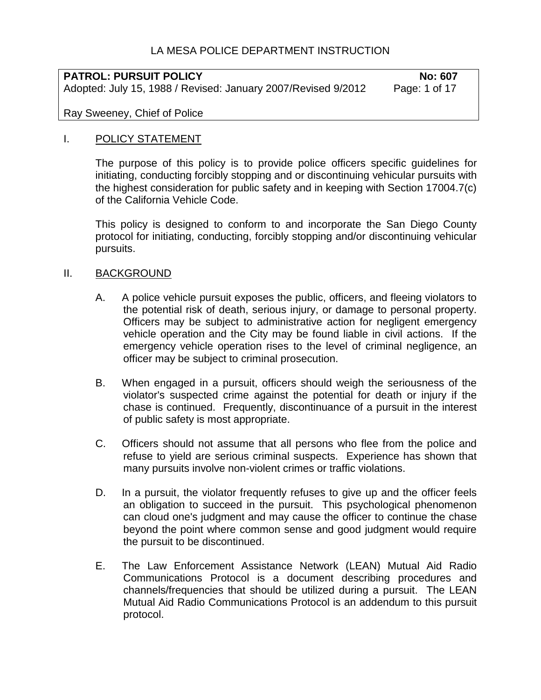# LA MESA POLICE DEPARTMENT INSTRUCTION

# **PATROL: PURSUIT POLICY**<br>Adopted: July 15, 1988 / Revised: January 2007/Revised 9/2012 Page: 1 of 17 Adopted: July 15, 1988 / Revised: January 2007/Revised 9/2012

Ray Sweeney, Chief of Police

### I. POLICY STATEMENT

The purpose of this policy is to provide police officers specific guidelines for initiating, conducting forcibly stopping and or discontinuing vehicular pursuits with the highest consideration for public safety and in keeping with Section 17004.7(c) of the California Vehicle Code.

This policy is designed to conform to and incorporate the San Diego County protocol for initiating, conducting, forcibly stopping and/or discontinuing vehicular pursuits.

#### II. BACKGROUND

- A. A police vehicle pursuit exposes the public, officers, and fleeing violators to the potential risk of death, serious injury, or damage to personal property. Officers may be subject to administrative action for negligent emergency vehicle operation and the City may be found liable in civil actions. If the emergency vehicle operation rises to the level of criminal negligence, an officer may be subject to criminal prosecution.
- B. When engaged in a pursuit, officers should weigh the seriousness of the violator's suspected crime against the potential for death or injury if the chase is continued. Frequently, discontinuance of a pursuit in the interest of public safety is most appropriate.
- C. Officers should not assume that all persons who flee from the police and refuse to yield are serious criminal suspects. Experience has shown that many pursuits involve non-violent crimes or traffic violations.
- D. In a pursuit, the violator frequently refuses to give up and the officer feels an obligation to succeed in the pursuit. This psychological phenomenon can cloud one's judgment and may cause the officer to continue the chase beyond the point where common sense and good judgment would require the pursuit to be discontinued.
- E. The Law Enforcement Assistance Network (LEAN) Mutual Aid Radio Communications Protocol is a document describing procedures and channels/frequencies that should be utilized during a pursuit. The LEAN Mutual Aid Radio Communications Protocol is an addendum to this pursuit protocol.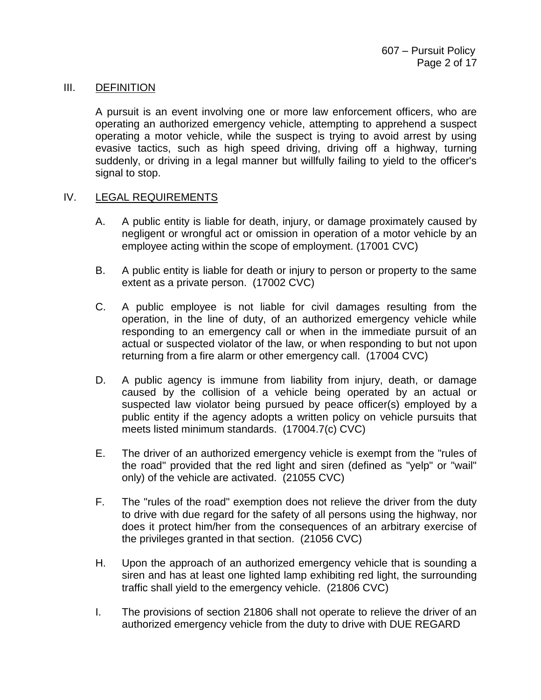#### III. DEFINITION

A pursuit is an event involving one or more law enforcement officers, who are operating an authorized emergency vehicle, attempting to apprehend a suspect operating a motor vehicle, while the suspect is trying to avoid arrest by using evasive tactics, such as high speed driving, driving off a highway, turning suddenly, or driving in a legal manner but willfully failing to yield to the officer's signal to stop.

#### IV. LEGAL REQUIREMENTS

- A. A public entity is liable for death, injury, or damage proximately caused by negligent or wrongful act or omission in operation of a motor vehicle by an employee acting within the scope of employment. (17001 CVC)
- B. A public entity is liable for death or injury to person or property to the same extent as a private person. (17002 CVC)
- C. A public employee is not liable for civil damages resulting from the operation, in the line of duty, of an authorized emergency vehicle while responding to an emergency call or when in the immediate pursuit of an actual or suspected violator of the law, or when responding to but not upon returning from a fire alarm or other emergency call. (17004 CVC)
- D. A public agency is immune from liability from injury, death, or damage caused by the collision of a vehicle being operated by an actual or suspected law violator being pursued by peace officer(s) employed by a public entity if the agency adopts a written policy on vehicle pursuits that meets listed minimum standards. (17004.7(c) CVC)
- E. The driver of an authorized emergency vehicle is exempt from the "rules of the road" provided that the red light and siren (defined as "yelp" or "wail" only) of the vehicle are activated. (21055 CVC)
- F. The "rules of the road" exemption does not relieve the driver from the duty to drive with due regard for the safety of all persons using the highway, nor does it protect him/her from the consequences of an arbitrary exercise of the privileges granted in that section. (21056 CVC)
- H. Upon the approach of an authorized emergency vehicle that is sounding a siren and has at least one lighted lamp exhibiting red light, the surrounding traffic shall yield to the emergency vehicle. (21806 CVC)
- I. The provisions of section 21806 shall not operate to relieve the driver of an authorized emergency vehicle from the duty to drive with DUE REGARD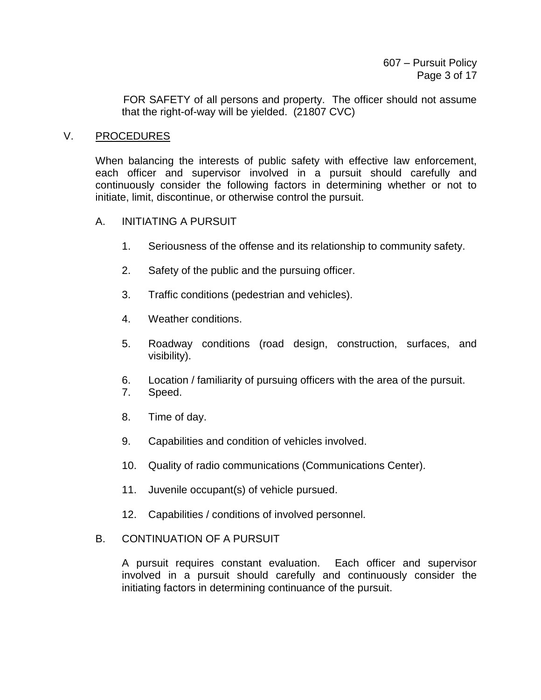FOR SAFETY of all persons and property. The officer should not assume that the right-of-way will be yielded. (21807 CVC)

### V. PROCEDURES

When balancing the interests of public safety with effective law enforcement, each officer and supervisor involved in a pursuit should carefully and continuously consider the following factors in determining whether or not to initiate, limit, discontinue, or otherwise control the pursuit.

### A. INITIATING A PURSUIT

- 1. Seriousness of the offense and its relationship to community safety.
- 2. Safety of the public and the pursuing officer.
- 3. Traffic conditions (pedestrian and vehicles).
- 4. Weather conditions.
- 5. Roadway conditions (road design, construction, surfaces, and visibility).
- 6. Location / familiarity of pursuing officers with the area of the pursuit.
- 7. Speed.
- 8. Time of day.
- 9. Capabilities and condition of vehicles involved.
- 10. Quality of radio communications (Communications Center).
- 11. Juvenile occupant(s) of vehicle pursued.
- 12. Capabilities / conditions of involved personnel.

## B. CONTINUATION OF A PURSUIT

A pursuit requires constant evaluation. Each officer and supervisor involved in a pursuit should carefully and continuously consider the initiating factors in determining continuance of the pursuit.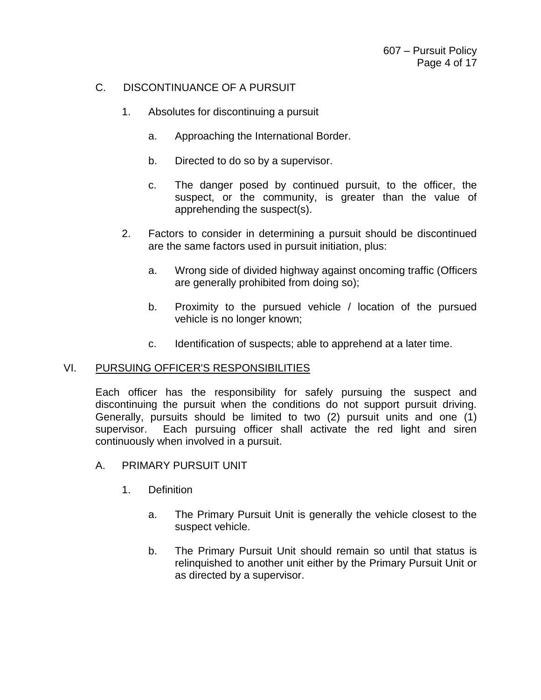# C. DISCONTINUANCE OF A PURSUIT

- 1. Absolutes for discontinuing a pursuit
	- a. Approaching the International Border.
	- b. Directed to do so by a supervisor.
	- c. The danger posed by continued pursuit, to the officer, the suspect, or the community, is greater than the value of apprehending the suspect(s).
- 2. Factors to consider in determining a pursuit should be discontinued are the same factors used in pursuit initiation, plus:
	- a. Wrong side of divided highway against oncoming traffic (Officers are generally prohibited from doing so);
	- b. Proximity to the pursued vehicle / location of the pursued vehicle is no longer known;
	- c. Identification of suspects; able to apprehend at a later time.

## VI. PURSUING OFFICER'S RESPONSIBILITIES

Each officer has the responsibility for safely pursuing the suspect and discontinuing the pursuit when the conditions do not support pursuit driving. Generally, pursuits should be limited to two (2) pursuit units and one (1) supervisor. Each pursuing officer shall activate the red light and siren continuously when involved in a pursuit.

- A. PRIMARY PURSUIT UNIT
	- 1. Definition
		- a. The Primary Pursuit Unit is generally the vehicle closest to the suspect vehicle.
		- b. The Primary Pursuit Unit should remain so until that status is relinquished to another unit either by the Primary Pursuit Unit or as directed by a supervisor.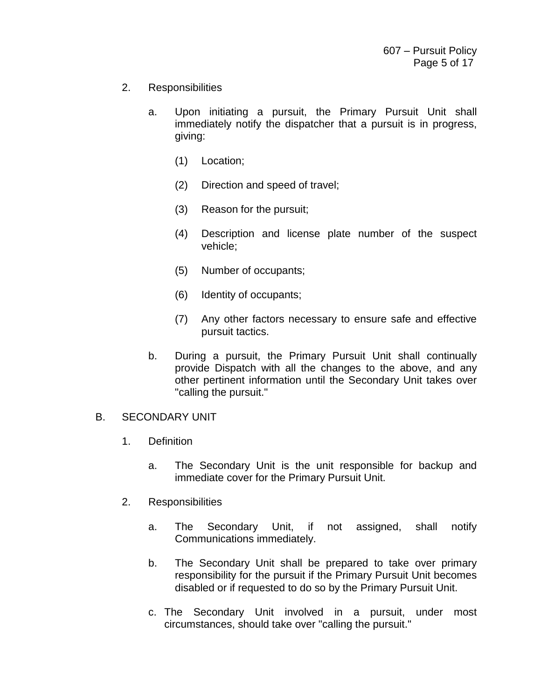- 2. Responsibilities
	- a. Upon initiating a pursuit, the Primary Pursuit Unit shall immediately notify the dispatcher that a pursuit is in progress, giving:
		- (1) Location;
		- (2) Direction and speed of travel;
		- (3) Reason for the pursuit;
		- (4) Description and license plate number of the suspect vehicle;
		- (5) Number of occupants;
		- (6) Identity of occupants;
		- (7) Any other factors necessary to ensure safe and effective pursuit tactics.
	- b. During a pursuit, the Primary Pursuit Unit shall continually provide Dispatch with all the changes to the above, and any other pertinent information until the Secondary Unit takes over "calling the pursuit."

## B. SECONDARY UNIT

- 1. Definition
	- a. The Secondary Unit is the unit responsible for backup and immediate cover for the Primary Pursuit Unit.
- 2. Responsibilities
	- a. The Secondary Unit, if not assigned, shall notify Communications immediately.
	- b. The Secondary Unit shall be prepared to take over primary responsibility for the pursuit if the Primary Pursuit Unit becomes disabled or if requested to do so by the Primary Pursuit Unit.
	- c. The Secondary Unit involved in a pursuit, under most circumstances, should take over "calling the pursuit."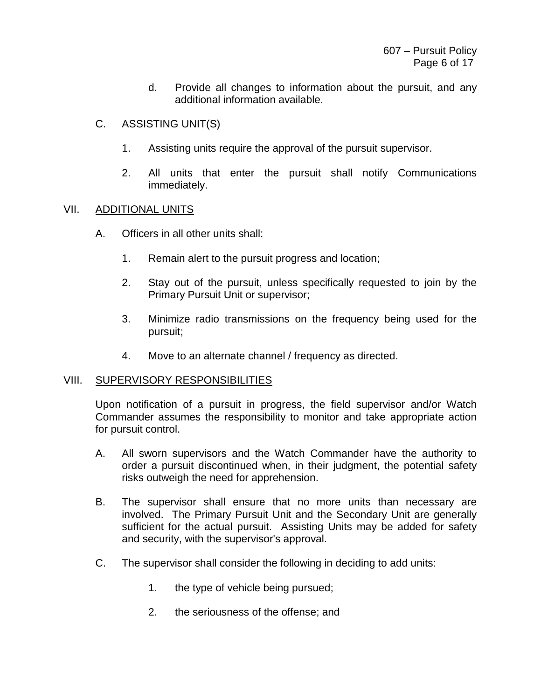- d. Provide all changes to information about the pursuit, and any additional information available.
- C. ASSISTING UNIT(S)
	- 1. Assisting units require the approval of the pursuit supervisor.
	- 2. All units that enter the pursuit shall notify Communications immediately.

## VII. ADDITIONAL UNITS

- A. Officers in all other units shall:
	- 1. Remain alert to the pursuit progress and location;
	- 2. Stay out of the pursuit, unless specifically requested to join by the Primary Pursuit Unit or supervisor;
	- 3. Minimize radio transmissions on the frequency being used for the pursuit;
	- 4. Move to an alternate channel / frequency as directed.

#### VIII. SUPERVISORY RESPONSIBILITIES

Upon notification of a pursuit in progress, the field supervisor and/or Watch Commander assumes the responsibility to monitor and take appropriate action for pursuit control.

- A. All sworn supervisors and the Watch Commander have the authority to order a pursuit discontinued when, in their judgment, the potential safety risks outweigh the need for apprehension.
- B. The supervisor shall ensure that no more units than necessary are involved. The Primary Pursuit Unit and the Secondary Unit are generally sufficient for the actual pursuit. Assisting Units may be added for safety and security, with the supervisor's approval.
- C. The supervisor shall consider the following in deciding to add units:
	- 1. the type of vehicle being pursued;
	- 2. the seriousness of the offense; and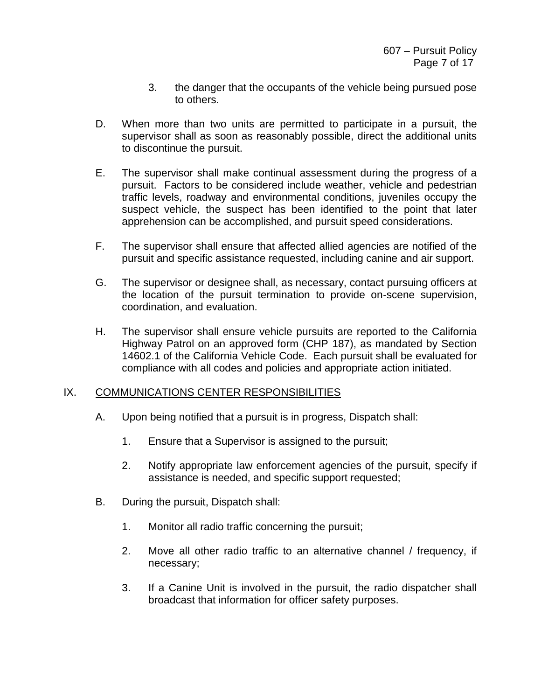- 3. the danger that the occupants of the vehicle being pursued pose to others.
- D. When more than two units are permitted to participate in a pursuit, the supervisor shall as soon as reasonably possible, direct the additional units to discontinue the pursuit.
- E. The supervisor shall make continual assessment during the progress of a pursuit. Factors to be considered include weather, vehicle and pedestrian traffic levels, roadway and environmental conditions, juveniles occupy the suspect vehicle, the suspect has been identified to the point that later apprehension can be accomplished, and pursuit speed considerations.
- F. The supervisor shall ensure that affected allied agencies are notified of the pursuit and specific assistance requested, including canine and air support.
- G. The supervisor or designee shall, as necessary, contact pursuing officers at the location of the pursuit termination to provide on-scene supervision, coordination, and evaluation.
- H. The supervisor shall ensure vehicle pursuits are reported to the California Highway Patrol on an approved form (CHP 187), as mandated by Section 14602.1 of the California Vehicle Code. Each pursuit shall be evaluated for compliance with all codes and policies and appropriate action initiated.

## IX. COMMUNICATIONS CENTER RESPONSIBILITIES

- A. Upon being notified that a pursuit is in progress, Dispatch shall:
	- 1. Ensure that a Supervisor is assigned to the pursuit;
	- 2. Notify appropriate law enforcement agencies of the pursuit, specify if assistance is needed, and specific support requested;
- B. During the pursuit, Dispatch shall:
	- 1. Monitor all radio traffic concerning the pursuit;
	- 2. Move all other radio traffic to an alternative channel / frequency, if necessary;
	- 3. If a Canine Unit is involved in the pursuit, the radio dispatcher shall broadcast that information for officer safety purposes.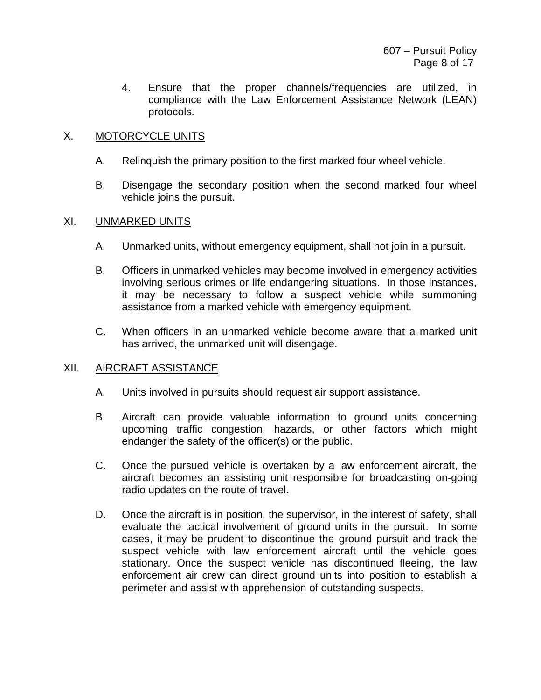4. Ensure that the proper channels/frequencies are utilized, in compliance with the Law Enforcement Assistance Network (LEAN) protocols.

# X. MOTORCYCLE UNITS

- A. Relinquish the primary position to the first marked four wheel vehicle.
- B. Disengage the secondary position when the second marked four wheel vehicle joins the pursuit.

## XI. UNMARKED UNITS

- A. Unmarked units, without emergency equipment, shall not join in a pursuit.
- B. Officers in unmarked vehicles may become involved in emergency activities involving serious crimes or life endangering situations. In those instances, it may be necessary to follow a suspect vehicle while summoning assistance from a marked vehicle with emergency equipment.
- C. When officers in an unmarked vehicle become aware that a marked unit has arrived, the unmarked unit will disengage.

# XII. AIRCRAFT ASSISTANCE

- A. Units involved in pursuits should request air support assistance.
- B. Aircraft can provide valuable information to ground units concerning upcoming traffic congestion, hazards, or other factors which might endanger the safety of the officer(s) or the public.
- C. Once the pursued vehicle is overtaken by a law enforcement aircraft, the aircraft becomes an assisting unit responsible for broadcasting on-going radio updates on the route of travel.
- D. Once the aircraft is in position, the supervisor, in the interest of safety, shall evaluate the tactical involvement of ground units in the pursuit. In some cases, it may be prudent to discontinue the ground pursuit and track the suspect vehicle with law enforcement aircraft until the vehicle goes stationary. Once the suspect vehicle has discontinued fleeing, the law enforcement air crew can direct ground units into position to establish a perimeter and assist with apprehension of outstanding suspects.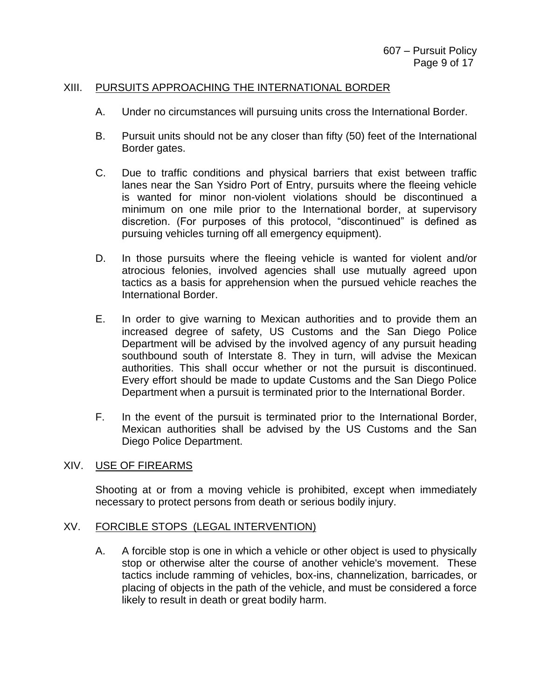### XIII. PURSUITS APPROACHING THE INTERNATIONAL BORDER

- A. Under no circumstances will pursuing units cross the International Border.
- B. Pursuit units should not be any closer than fifty (50) feet of the International Border gates.
- C. Due to traffic conditions and physical barriers that exist between traffic lanes near the San Ysidro Port of Entry, pursuits where the fleeing vehicle is wanted for minor non-violent violations should be discontinued a minimum on one mile prior to the International border, at supervisory discretion. (For purposes of this protocol, "discontinued" is defined as pursuing vehicles turning off all emergency equipment).
- D. In those pursuits where the fleeing vehicle is wanted for violent and/or atrocious felonies, involved agencies shall use mutually agreed upon tactics as a basis for apprehension when the pursued vehicle reaches the International Border.
- E. In order to give warning to Mexican authorities and to provide them an increased degree of safety, US Customs and the San Diego Police Department will be advised by the involved agency of any pursuit heading southbound south of Interstate 8. They in turn, will advise the Mexican authorities. This shall occur whether or not the pursuit is discontinued. Every effort should be made to update Customs and the San Diego Police Department when a pursuit is terminated prior to the International Border.
- F. In the event of the pursuit is terminated prior to the International Border, Mexican authorities shall be advised by the US Customs and the San Diego Police Department.

#### XIV. USE OF FIREARMS

Shooting at or from a moving vehicle is prohibited, except when immediately necessary to protect persons from death or serious bodily injury.

#### XV. FORCIBLE STOPS (LEGAL INTERVENTION)

A. A forcible stop is one in which a vehicle or other object is used to physically stop or otherwise alter the course of another vehicle's movement. These tactics include ramming of vehicles, box-ins, channelization, barricades, or placing of objects in the path of the vehicle, and must be considered a force likely to result in death or great bodily harm.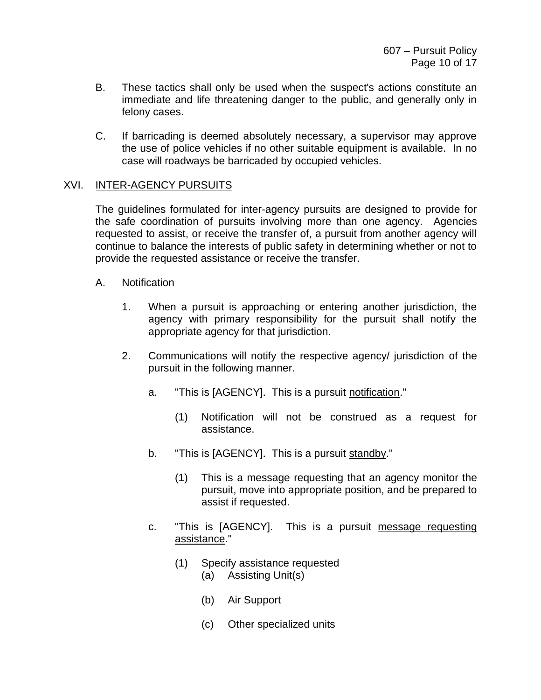- B. These tactics shall only be used when the suspect's actions constitute an immediate and life threatening danger to the public, and generally only in felony cases.
- C. If barricading is deemed absolutely necessary, a supervisor may approve the use of police vehicles if no other suitable equipment is available. In no case will roadways be barricaded by occupied vehicles.

# XVI. INTER-AGENCY PURSUITS

The guidelines formulated for inter-agency pursuits are designed to provide for the safe coordination of pursuits involving more than one agency. Agencies requested to assist, or receive the transfer of, a pursuit from another agency will continue to balance the interests of public safety in determining whether or not to provide the requested assistance or receive the transfer.

- A. Notification
	- 1. When a pursuit is approaching or entering another jurisdiction, the agency with primary responsibility for the pursuit shall notify the appropriate agency for that jurisdiction.
	- 2. Communications will notify the respective agency/ jurisdiction of the pursuit in the following manner.
		- a. "This is [AGENCY]. This is a pursuit notification."
			- (1) Notification will not be construed as a request for assistance.
		- b. "This is [AGENCY]. This is a pursuit standby."
			- (1) This is a message requesting that an agency monitor the pursuit, move into appropriate position, and be prepared to assist if requested.
		- c. "This is [AGENCY]. This is a pursuit message requesting assistance."
			- (1) Specify assistance requested
				- (a) Assisting Unit(s)
				- (b) Air Support
				- (c) Other specialized units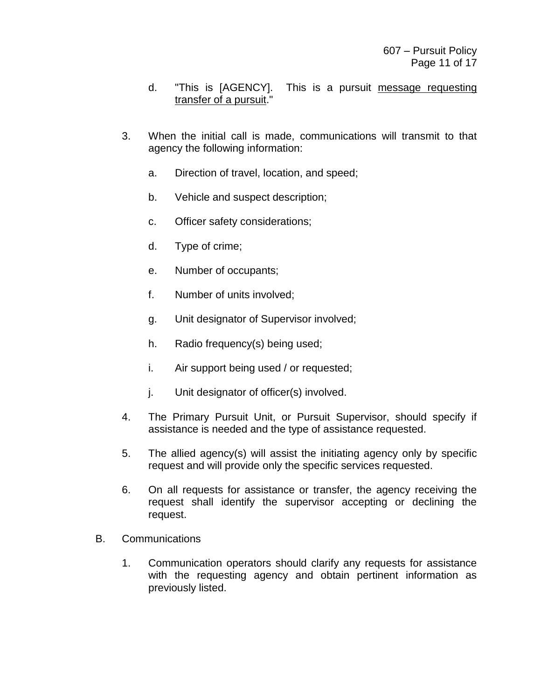- d. "This is [AGENCY]. This is a pursuit message requesting transfer of a pursuit."
- 3. When the initial call is made, communications will transmit to that agency the following information:
	- a. Direction of travel, location, and speed;
	- b. Vehicle and suspect description;
	- c. Officer safety considerations;
	- d. Type of crime;
	- e. Number of occupants;
	- f. Number of units involved;
	- g. Unit designator of Supervisor involved;
	- h. Radio frequency(s) being used;
	- i. Air support being used / or requested;
	- j. Unit designator of officer(s) involved.
- 4. The Primary Pursuit Unit, or Pursuit Supervisor, should specify if assistance is needed and the type of assistance requested.
- 5. The allied agency(s) will assist the initiating agency only by specific request and will provide only the specific services requested.
- 6. On all requests for assistance or transfer, the agency receiving the request shall identify the supervisor accepting or declining the request.
- B. Communications
	- 1. Communication operators should clarify any requests for assistance with the requesting agency and obtain pertinent information as previously listed.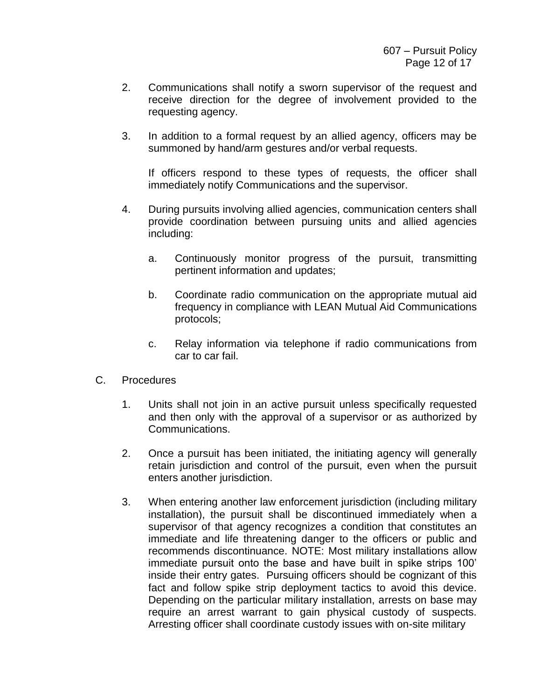- 2. Communications shall notify a sworn supervisor of the request and receive direction for the degree of involvement provided to the requesting agency.
- 3. In addition to a formal request by an allied agency, officers may be summoned by hand/arm gestures and/or verbal requests.

If officers respond to these types of requests, the officer shall immediately notify Communications and the supervisor.

- 4. During pursuits involving allied agencies, communication centers shall provide coordination between pursuing units and allied agencies including:
	- a. Continuously monitor progress of the pursuit, transmitting pertinent information and updates;
	- b. Coordinate radio communication on the appropriate mutual aid frequency in compliance with LEAN Mutual Aid Communications protocols;
	- c. Relay information via telephone if radio communications from car to car fail.
- C. Procedures
	- 1. Units shall not join in an active pursuit unless specifically requested and then only with the approval of a supervisor or as authorized by Communications.
	- 2. Once a pursuit has been initiated, the initiating agency will generally retain jurisdiction and control of the pursuit, even when the pursuit enters another jurisdiction.
	- 3. When entering another law enforcement jurisdiction (including military installation), the pursuit shall be discontinued immediately when a supervisor of that agency recognizes a condition that constitutes an immediate and life threatening danger to the officers or public and recommends discontinuance. NOTE: Most military installations allow immediate pursuit onto the base and have built in spike strips 100' inside their entry gates. Pursuing officers should be cognizant of this fact and follow spike strip deployment tactics to avoid this device. Depending on the particular military installation, arrests on base may require an arrest warrant to gain physical custody of suspects. Arresting officer shall coordinate custody issues with on-site military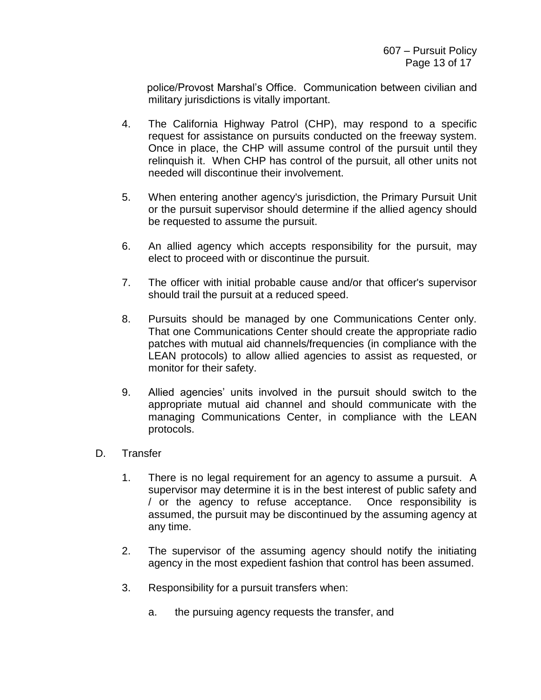police/Provost Marshal's Office. Communication between civilian and military jurisdictions is vitally important.

- 4. The California Highway Patrol (CHP), may respond to a specific request for assistance on pursuits conducted on the freeway system. Once in place, the CHP will assume control of the pursuit until they relinquish it. When CHP has control of the pursuit, all other units not needed will discontinue their involvement.
- 5. When entering another agency's jurisdiction, the Primary Pursuit Unit or the pursuit supervisor should determine if the allied agency should be requested to assume the pursuit.
- 6. An allied agency which accepts responsibility for the pursuit, may elect to proceed with or discontinue the pursuit.
- 7. The officer with initial probable cause and/or that officer's supervisor should trail the pursuit at a reduced speed.
- 8. Pursuits should be managed by one Communications Center only. That one Communications Center should create the appropriate radio patches with mutual aid channels/frequencies (in compliance with the LEAN protocols) to allow allied agencies to assist as requested, or monitor for their safety.
- 9. Allied agencies' units involved in the pursuit should switch to the appropriate mutual aid channel and should communicate with the managing Communications Center, in compliance with the LEAN protocols.
- D. Transfer
	- 1. There is no legal requirement for an agency to assume a pursuit. A supervisor may determine it is in the best interest of public safety and / or the agency to refuse acceptance. Once responsibility is assumed, the pursuit may be discontinued by the assuming agency at any time.
	- 2. The supervisor of the assuming agency should notify the initiating agency in the most expedient fashion that control has been assumed.
	- 3. Responsibility for a pursuit transfers when:
		- a. the pursuing agency requests the transfer, and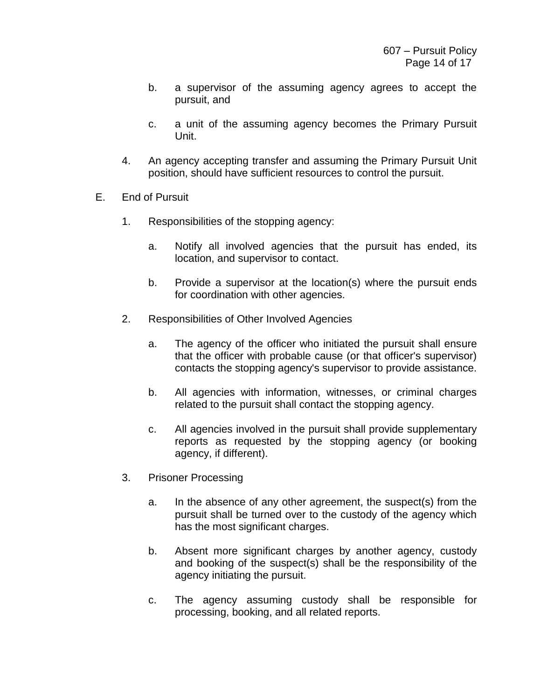- b. a supervisor of the assuming agency agrees to accept the pursuit, and
- c. a unit of the assuming agency becomes the Primary Pursuit Unit.
- 4. An agency accepting transfer and assuming the Primary Pursuit Unit position, should have sufficient resources to control the pursuit.
- E. End of Pursuit
	- 1. Responsibilities of the stopping agency:
		- a. Notify all involved agencies that the pursuit has ended, its location, and supervisor to contact.
		- b. Provide a supervisor at the location(s) where the pursuit ends for coordination with other agencies.
	- 2. Responsibilities of Other Involved Agencies
		- a. The agency of the officer who initiated the pursuit shall ensure that the officer with probable cause (or that officer's supervisor) contacts the stopping agency's supervisor to provide assistance.
		- b. All agencies with information, witnesses, or criminal charges related to the pursuit shall contact the stopping agency.
		- c. All agencies involved in the pursuit shall provide supplementary reports as requested by the stopping agency (or booking agency, if different).
	- 3. Prisoner Processing
		- a. In the absence of any other agreement, the suspect(s) from the pursuit shall be turned over to the custody of the agency which has the most significant charges.
		- b. Absent more significant charges by another agency, custody and booking of the suspect(s) shall be the responsibility of the agency initiating the pursuit.
		- c. The agency assuming custody shall be responsible for processing, booking, and all related reports.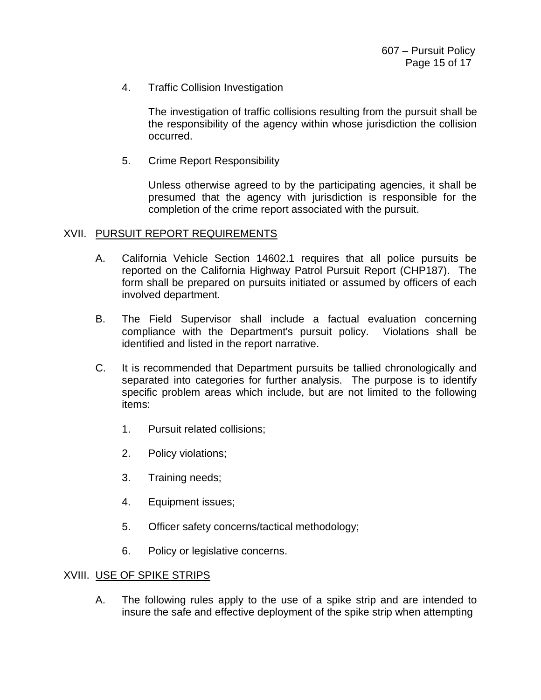4. Traffic Collision Investigation

The investigation of traffic collisions resulting from the pursuit shall be the responsibility of the agency within whose jurisdiction the collision occurred.

5. Crime Report Responsibility

Unless otherwise agreed to by the participating agencies, it shall be presumed that the agency with jurisdiction is responsible for the completion of the crime report associated with the pursuit.

#### XVII. PURSUIT REPORT REQUIREMENTS

- A. California Vehicle Section 14602.1 requires that all police pursuits be reported on the California Highway Patrol Pursuit Report (CHP187). The form shall be prepared on pursuits initiated or assumed by officers of each involved department.
- B. The Field Supervisor shall include a factual evaluation concerning compliance with the Department's pursuit policy. Violations shall be identified and listed in the report narrative.
- C. It is recommended that Department pursuits be tallied chronologically and separated into categories for further analysis. The purpose is to identify specific problem areas which include, but are not limited to the following items:
	- 1. Pursuit related collisions;
	- 2. Policy violations;
	- 3. Training needs;
	- 4. Equipment issues;
	- 5. Officer safety concerns/tactical methodology;
	- 6. Policy or legislative concerns.

#### XVIII. USE OF SPIKE STRIPS

A. The following rules apply to the use of a spike strip and are intended to insure the safe and effective deployment of the spike strip when attempting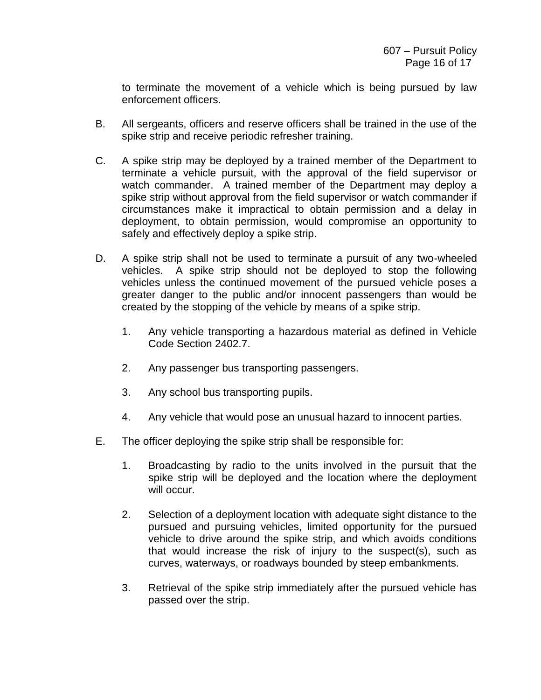to terminate the movement of a vehicle which is being pursued by law enforcement officers.

- B. All sergeants, officers and reserve officers shall be trained in the use of the spike strip and receive periodic refresher training.
- C. A spike strip may be deployed by a trained member of the Department to terminate a vehicle pursuit, with the approval of the field supervisor or watch commander. A trained member of the Department may deploy a spike strip without approval from the field supervisor or watch commander if circumstances make it impractical to obtain permission and a delay in deployment, to obtain permission, would compromise an opportunity to safely and effectively deploy a spike strip.
- D. A spike strip shall not be used to terminate a pursuit of any two-wheeled vehicles. A spike strip should not be deployed to stop the following vehicles unless the continued movement of the pursued vehicle poses a greater danger to the public and/or innocent passengers than would be created by the stopping of the vehicle by means of a spike strip.
	- 1. Any vehicle transporting a hazardous material as defined in Vehicle Code Section 2402.7.
	- 2. Any passenger bus transporting passengers.
	- 3. Any school bus transporting pupils.
	- 4. Any vehicle that would pose an unusual hazard to innocent parties.
- E. The officer deploying the spike strip shall be responsible for:
	- 1. Broadcasting by radio to the units involved in the pursuit that the spike strip will be deployed and the location where the deployment will occur.
	- 2. Selection of a deployment location with adequate sight distance to the pursued and pursuing vehicles, limited opportunity for the pursued vehicle to drive around the spike strip, and which avoids conditions that would increase the risk of injury to the suspect(s), such as curves, waterways, or roadways bounded by steep embankments.
	- 3. Retrieval of the spike strip immediately after the pursued vehicle has passed over the strip.